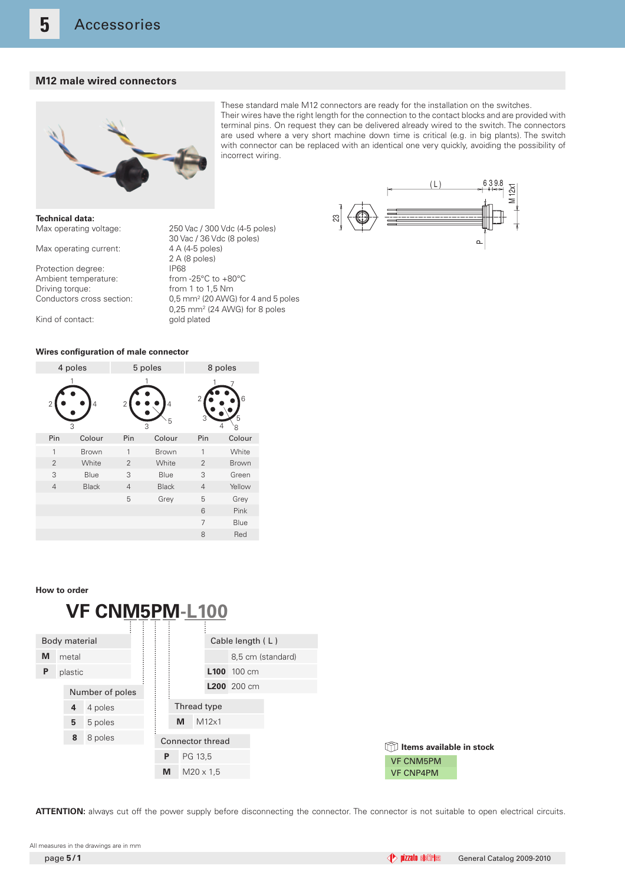### **M12 male wired connectors**



These standard male M12 connectors are ready for the installation on the switches.

Their wires have the right length for the connection to the contact blocks and are provided with terminal pins. On request they can be delivered already wired to the switch. The connectors are used where a very short machine down time is critical (e.g. in big plants). The switch with connector can be replaced with an identical one very quickly, avoiding the possibility of incorrect wiring.

#### **Technical data:** Max operating voltage: 250 Vac / 300 Vdc (4-5 poles)

Max operating current:

Protection degree: Ambient temperature: from -25°C to +80°C Driving torque: from 1 to 1,5 Nm Conductors cross section:

 30 Vac / 36 Vdc (8 poles) 2 A (8 poles) 0,5 mm<sup>2</sup> (20 AWG) for 4 and 5 poles 0,25 mm2 (24 AWG) for 8 poles



Kind of contact: gold plated

#### **Wires configuration of male connector**

| 4 poles<br>$\overline{2}$<br>4<br>3 |              | 5 poles<br>2<br>4<br>5<br>3 |              | 8 poles                    |              |  |
|-------------------------------------|--------------|-----------------------------|--------------|----------------------------|--------------|--|
|                                     |              |                             |              | 6<br>2<br>5<br>3<br>4<br>8 |              |  |
| Pin                                 | Colour       | Pin                         | Colour       | Pin                        | Colour       |  |
| 1                                   | Brown        | 1                           | <b>Brown</b> | 1                          | White        |  |
| $\overline{2}$                      | White        | $\overline{2}$              | White        | $\overline{2}$             | <b>Brown</b> |  |
| 3                                   | Blue         | 3                           | Blue         | 3                          | Green        |  |
| $\overline{4}$                      | <b>Black</b> | $\overline{4}$              | <b>Black</b> | $\overline{4}$             | Yellow       |  |
|                                     |              | 5                           | Grey         | 5                          | Grey         |  |
|                                     |              |                             |              | 6                          | Pink         |  |
|                                     |              |                             |              | 7                          | Blue         |  |
|                                     |              |                             |              | 8                          | Red          |  |

#### **How to order**



**ATTENTION:** always cut off the power supply before disconnecting the connector. The connector is not suitable to open electrical circuits.

All measures in the drawings are in mm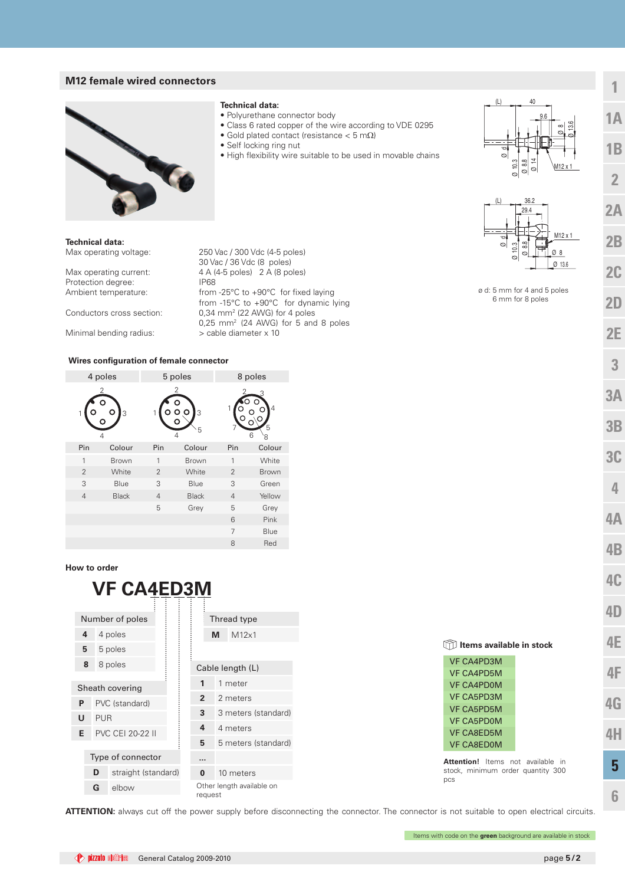## **M12 female wired connectors**



**Technical data:** Max operating voltage: 250 Vac / 300 Vdc (4-5 poles)

30 Vac / 36 Vdc (8 poles)<br>Max operating current:  $4 \text{ A } (4-5 \text{ poles})$  2 A (8 poles) Protection degree: IP68<br>Ambient temperature: from

Conductors cross section:

Minimal bending radius: > cable diameter x 10

#### **Wires configuration of female connector**

| 4 poles        |              | 5 poles        |              | 8 poles        |        |  |
|----------------|--------------|----------------|--------------|----------------|--------|--|
| 3<br>4         |              | 3<br>5<br>4    |              | 5<br>6<br>8    |        |  |
| Pin            | Colour       | Pin            | Colour       | Pin            | Colour |  |
| 1              | Brown        | 1              | Brown        | 1              | White  |  |
| $\overline{2}$ | White        | $\overline{2}$ | White        | $\overline{2}$ | Brown  |  |
| 3              | Blue         | 3              | Blue         | 3              | Green  |  |
| $\overline{4}$ | <b>Black</b> | $\overline{4}$ | <b>Black</b> | $\overline{4}$ | Yellow |  |
|                |              | 5              | Grey         | 5              | Grey   |  |
|                |              |                |              | 6              | Pink   |  |
|                |              |                |              | 7              | Blue   |  |
|                |              |                |              | 8              | Red    |  |

4 A (4-5 poles) 2 A (8 poles)

**Technical data:**

• Self locking ring nut

• Polyurethane connector body

• Gold plated contact (resistance  $< 5$  m $\Omega$ )

• Class 6 rated copper of the wire according to VDE 0295

• High flexibility wire suitable to be used in movable chains

0,34 mm<sup>2</sup> (22 AWG) for 4 poles 0,25 mm<sup>2</sup> (24 AWG) for 5 and 8 poles

from -25°C to +90°C for fixed laying from -15°C to +90°C for dynamic lying

**How to order**

|        |            | <b>VF CA4ED3M</b>       |                     |                                        |
|--------|------------|-------------------------|---------------------|----------------------------------------|
|        |            | Number of poles         |                     | Thread type                            |
| 4      |            | 4 poles                 |                     | M12x1<br>M                             |
| 5<br>8 |            | 5 poles<br>8 poles      |                     | Cable length (L)                       |
|        |            | Sheath covering         | 1                   | 1 meter                                |
| P<br>U | <b>PUR</b> | PVC (standard)          | $\overline{2}$<br>3 | 2 meters<br>3 meters (standard)        |
| E.     |            | <b>PVC CEI 20-22 II</b> | 4<br>5              | 4 meters<br>5 meters (standard)        |
|        |            | Type of connector       | $\cdots$            |                                        |
|        | D          | straight (standard)     | $\bf{0}$            | 10 meters<br>Other length available on |
|        | G          | elbow                   | request             |                                        |

ATTENTION: always cut off the power supply before disconnecting the connector. The connector is not suitable to open electrical circuits.

Items with code on the **green** background are available in stock

Ø

Ø

Ø



ø d: 5 mm for 4 and 5 poles 6 mm for 8 poles

**4A**

**4B**

**1B**

**2**

**2A**

**2B**

**2C**

**2D**

**2E**

**3**

**3A**

**3B**

**1A**

**1**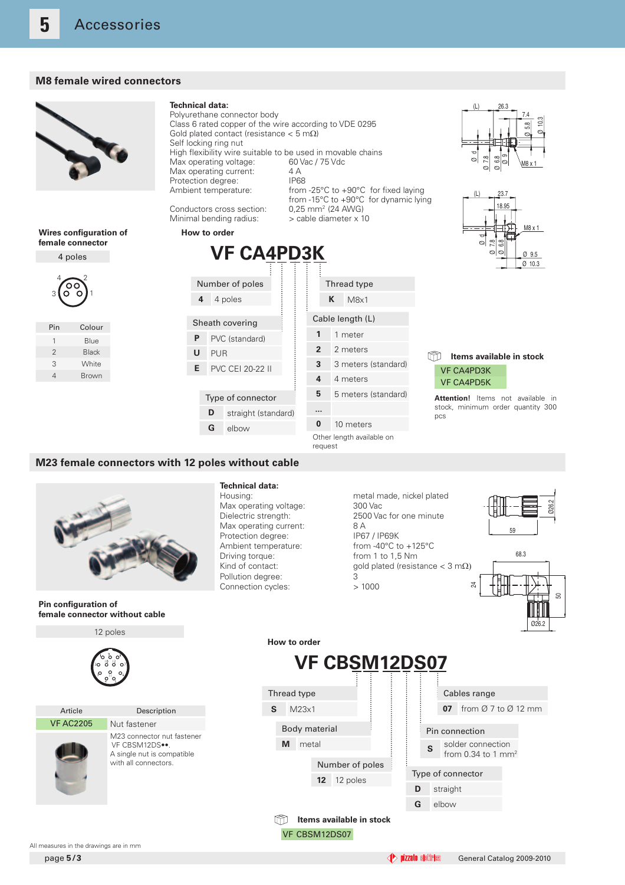### **M8 female wired connectors**



#### **M23 female connectors with 12 poles without cable**



#### **Technical data:**

Max operating voltage: 300 Vac Max operating current: 8 A<br>Protection degree: 1967 / IP69K Ambient temperature: Driving torque: from 1 to 1,5 Nm Pollution degree: 3 Connection cycles: > 1000

Housing: metal made, nickel plated Dielectric strength: 2500 Vac for one minute<br>
Max operating current: 8 A Protection degree: IP67 / IP69K<br>Ambient temperature: from -40°C to +125°C Kind of contact: gold plated (resistance  $<$  3 m $\Omega$ )



68.3

50

Ø26.2

24

#### **Pin configuration of female connector without cable**



| Article          | Description                                                                                    |
|------------------|------------------------------------------------------------------------------------------------|
| <b>VF AC2205</b> | Nut fastener                                                                                   |
|                  | M23 connector nut fastener<br>VF CBSM12DS<br>A single nut is compatible<br>with all connectors |

**How to order**



All measures in the drawings are in mm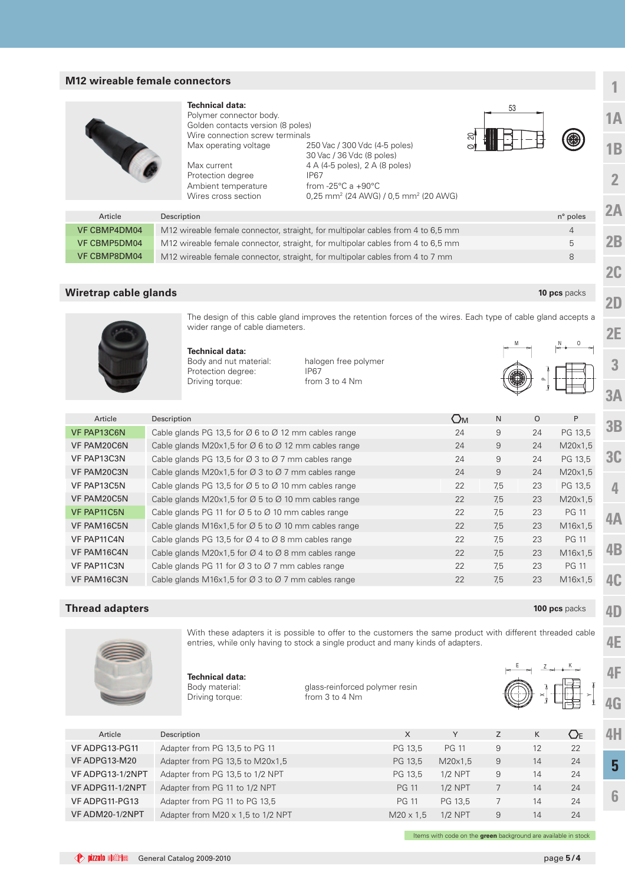### **M12 wireable female connectors**

|                     | Technical data:<br>Polymer connector body.<br>Golden contacts version (8 poles)<br>Wire connection screw terminals<br>Max operating voltage<br>Max current<br>Protection degree<br>Ambient temperature<br>Wires cross section | 250 Vac / 300 Vdc (4-5 poles)<br>30 Vac / 36 Vdc (8 poles)<br>4 A (4-5 poles), 2 A (8 poles)<br>IP67<br>from -25 $\degree$ C a +90 $\degree$ C<br>0.25 mm <sup>2</sup> (24 AWG) / 0.5 mm <sup>2</sup> (20 AWG) | 53<br>ଟ |          |
|---------------------|-------------------------------------------------------------------------------------------------------------------------------------------------------------------------------------------------------------------------------|----------------------------------------------------------------------------------------------------------------------------------------------------------------------------------------------------------------|---------|----------|
| Article             | Description                                                                                                                                                                                                                   |                                                                                                                                                                                                                |         | n° poles |
| <b>VF CBMP4DM04</b> | M12 wireable female connector, straight, for multipolar cables from 4 to 6,5 mm                                                                                                                                               |                                                                                                                                                                                                                |         | 4        |
| VF CBMP5DM04        | M12 wireable female connector, straight, for multipolar cables from 4 to 6,5 mm                                                                                                                                               |                                                                                                                                                                                                                |         | 5        |
| <b>VF CBMP8DM04</b> | M12 wireable female connector, straight, for multipolar cables from 4 to 7 mm                                                                                                                                                 |                                                                                                                                                                                                                |         | 8        |

| Wiretrap cable glands |  |
|-----------------------|--|
|                       |  |

The design of this cable gland improves the retention forces of the wires. Each type of cable gland accepts a wider range of cable diameters.

**Technical data:** Body and nut material: halogen free polymer Protection degree: IP67<br>Driving torque: from

from 3 to 4 Nm

**10 pcs** packs

**1B**

**2**

**2A**

**2B**

**2C**

**2D**

**2E**

**3**

**3A**

**4D**

**4E**

**4F**

**4G**

**1**

**1A**

| Article     | Description                                                                  | $\bigcirc$ м | N   | $\Omega$ | P            |                |
|-------------|------------------------------------------------------------------------------|--------------|-----|----------|--------------|----------------|
| VF PAP13C6N | Cable glands PG 13,5 for $\varnothing$ 6 to $\varnothing$ 12 mm cables range | 24           | 9   | 24       | PG 13,5      | 3B             |
| VF PAM20C6N | Cable glands M20x1,5 for $\varnothing$ 6 to $\varnothing$ 12 mm cables range | 24           | 9   | 24       | M20x1,5      |                |
| VF PAP13C3N | Cable glands PG 13,5 for $\varnothing$ 3 to $\varnothing$ 7 mm cables range  | 24           | 9   | 24       | PG 13,5      | 3G             |
| VF PAM20C3N | Cable glands M20x1.5 for $\varnothing$ 3 to $\varnothing$ 7 mm cables range  | 24           | 9   | 24       | M20x1,5      |                |
| VF PAP13C5N | Cable glands PG 13.5 for $\varnothing$ 5 to $\varnothing$ 10 mm cables range | 22           | 7,5 | 23       | PG 13.5      | $\overline{4}$ |
| VF PAM20C5N | Cable glands M20x1,5 for $\varnothing$ 5 to $\varnothing$ 10 mm cables range | 22           | 7,5 | 23       | M20x1,5      |                |
| VF PAP11C5N | Cable glands PG 11 for $\varnothing$ 5 to $\varnothing$ 10 mm cables range   | 22           | 7,5 | 23       | <b>PG 11</b> | 4Д             |
| VF PAM16C5N | Cable glands M16x1,5 for $\varnothing$ 5 to $\varnothing$ 10 mm cables range | 22           | 7.5 | 23       | M16x1,5      |                |
| VF PAP11C4N | Cable glands PG 13,5 for $\varnothing$ 4 to $\varnothing$ 8 mm cables range  | 22           | 7,5 | 23       | <b>PG 11</b> |                |
| VF PAM16C4N | Cable glands M20x1,5 for Ø 4 to Ø 8 mm cables range                          | 22           | 7,5 | 23       | M16x1,5      | 4B             |
| VF PAP11C3N | Cable glands PG 11 for $\varnothing$ 3 to $\varnothing$ 7 mm cables range    | 22           | 7,5 | 23       | <b>PG 11</b> |                |
| VF PAM16C3N | Cable glands M16x1.5 for $\varnothing$ 3 to $\varnothing$ 7 mm cables range  | 22           | 7,5 | 23       | M16x1,5      | 4C             |
|             |                                                                              |              |     |          |              |                |

## **Thread adapters 100 pcs** packs

With these adapters it is possible to offer to the customers the same product with different threaded cable entries, while only having to stock a single product and many kinds of adapters.



# **Technical data:**

Body material: glass-reinforced polymer resin<br>
Driving torque: from 3 to 4 Nm from 3 to 4 Nm



| Article          | Description                       | X                | Y              |   | K  | く 〉F |   |
|------------------|-----------------------------------|------------------|----------------|---|----|------|---|
| VF ADPG13-PG11   | Adapter from PG 13,5 to PG 11     | PG 13.5          | <b>PG 11</b>   | 9 | 12 | 22   |   |
| VF ADPG13-M20    | Adapter from PG 13,5 to M20x1,5   | PG 13.5          | M20x1.5        | 9 | 14 | 24   | 5 |
| VF ADPG13-1/2NPT | Adapter from PG 13,5 to 1/2 NPT   | PG 13.5          | <b>1/2 NPT</b> | 9 | 14 | 24   |   |
| VF ADPG11-1/2NPT | Adapter from PG 11 to 1/2 NPT     | <b>PG 11</b>     | $1/2$ NPT      |   | 14 | 24   |   |
| VF ADPG11-PG13   | Adapter from PG 11 to PG 13,5     | <b>PG 11</b>     | PG 13.5        |   | 14 | 24   | 6 |
| VF ADM20-1/2NPT  | Adapter from M20 x 1,5 to 1/2 NPT | $M20 \times 1.5$ | <b>1/2 NPT</b> | 9 | 14 | 24   |   |

Items with code on the **green** background are available in stock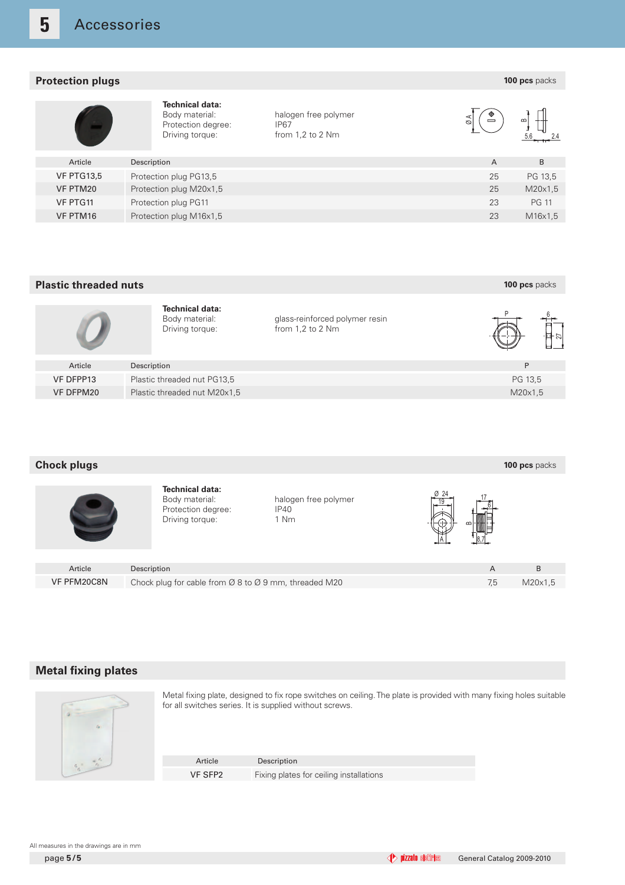## **Protection plugs**

|                   | Technical data:<br>Body material:<br>halogen free polymer<br>Protection degree:<br><b>IP67</b><br>Driving torque:<br>from $1.2$ to $2$ Nm | $\equiv$ | $\mathbf{m}$ |
|-------------------|-------------------------------------------------------------------------------------------------------------------------------------------|----------|--------------|
| Article           | Description                                                                                                                               | A        | B            |
| <b>VF PTG13,5</b> | Protection plug PG13,5                                                                                                                    | 25       | PG 13,5      |
| VF PTM20          | Protection plug M20x1,5                                                                                                                   | 25       | M20x1,5      |
| VF PTG11          | Protection plug PG11                                                                                                                      | 23       | <b>PG 11</b> |
| VF PTM16          | Protection plug M16x1,5                                                                                                                   | 23       | M16x1,5      |
|                   |                                                                                                                                           |          |              |

| <b>Plastic threaded nuts</b> |                                                      |                                                    | 100 pcs packs |
|------------------------------|------------------------------------------------------|----------------------------------------------------|---------------|
|                              | Technical data:<br>Body material:<br>Driving torque: | glass-reinforced polymer resin<br>from 1,2 to 2 Nm | .<br> <br>    |
| Article                      | Description                                          |                                                    | P             |
| VF DFPP13                    | Plastic threaded nut PG13,5                          |                                                    | PG 13,5       |
| VF DFPM20                    | Plastic threaded nut M20x1,5                         |                                                    | M20x1,5       |

| <b>Chock plugs</b> |                                                                            |                                             |                | 100 pcs packs |
|--------------------|----------------------------------------------------------------------------|---------------------------------------------|----------------|---------------|
|                    | Technical data:<br>Body material:<br>Protection degree:<br>Driving torque: | halogen free polymer<br><b>IP40</b><br>1 Nm | ന              |               |
| Article            | Description                                                                |                                             | $\overline{A}$ | B             |
| VF PFM20C8N        | Chock plug for cable from Ø 8 to Ø 9 mm, threaded M20                      | 7,5                                         | M20x1,5        |               |
|                    |                                                                            |                                             |                |               |

## **Metal fixing plates**



Metal fixing plate, designed to fix rope switches on ceiling. The plate is provided with many fixing holes suitable for all switches series. It is supplied without screws.

Article Description VF SFP2 Fixing plates for ceiling installations **100 pcs** packs